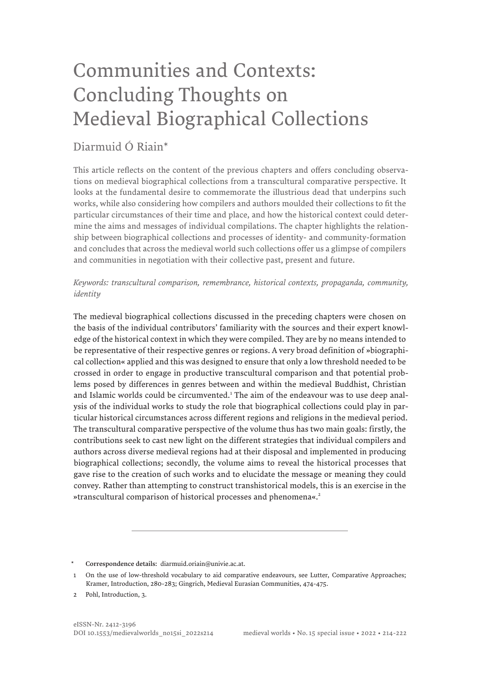# Communities and Contexts: Concluding Thoughts on Medieval Biographical Collections

### Diarmuid Ó Riain\*

This article reflects on the content of the previous chapters and offers concluding observations on medieval biographical collections from a transcultural comparative perspective. It looks at the fundamental desire to commemorate the illustrious dead that underpins such works, while also considering how compilers and authors moulded their collections to fit the particular circumstances of their time and place, and how the historical context could determine the aims and messages of individual compilations. The chapter highlights the relationship between biographical collections and processes of identity- and community-formation and concludes that across the medieval world such collections offer us a glimpse of compilers and communities in negotiation with their collective past, present and future.

#### *Keywords: transcultural comparison, remembrance, historical contexts, propaganda, community, identity*

The medieval biographical collections discussed in the preceding chapters were chosen on the basis of the individual contributors' familiarity with the sources and their expert knowledge of the historical context in which they were compiled. They are by no means intended to be representative of their respective genres or regions. A very broad definition of »biographical collection« applied and this was designed to ensure that only a low threshold needed to be crossed in order to engage in productive transcultural comparison and that potential problems posed by differences in genres between and within the medieval Buddhist, Christian and Islamic worlds could be circumvented.<sup>1</sup> The aim of the endeavour was to use deep analysis of the individual works to study the role that biographical collections could play in particular historical circumstances across different regions and religions in the medieval period. The transcultural comparative perspective of the volume thus has two main goals: firstly, the contributions seek to cast new light on the different strategies that individual compilers and authors across diverse medieval regions had at their disposal and implemented in producing biographical collections; secondly, the volume aims to reveal the historical processes that gave rise to the creation of such works and to elucidate the message or meaning they could convey. Rather than attempting to construct transhistorical models, this is an exercise in the »transcultural comparison of historical processes and phenomena«.<sup>2</sup>

Correspondence details: diarmuid.oriain@univie.ac.at.

<sup>1</sup> On the use of low-threshold vocabulary to aid comparative endeavours, see Lutter, Comparative Approaches; Kramer, Introduction, 280-283; Gingrich, Medieval Eurasian Communities, 474-475.

<sup>2</sup> Pohl, Introduction, 3.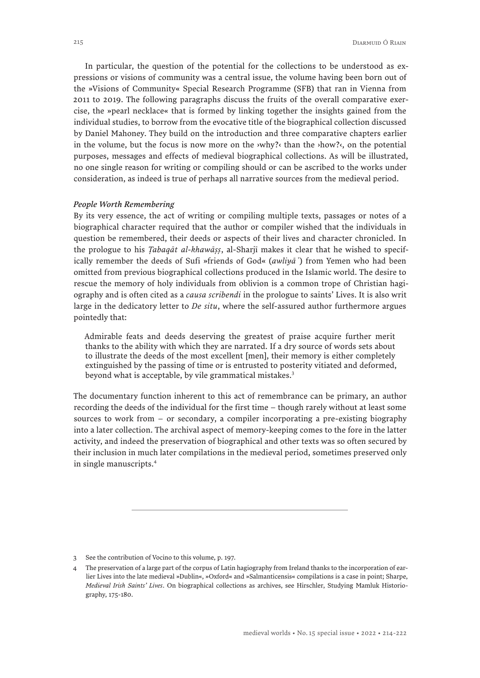In particular, the question of the potential for the collections to be understood as expressions or visions of community was a central issue, the volume having been born out of the »Visions of Community« Special Research Programme (SFB) that ran in Vienna from 2011 to 2019. The following paragraphs discuss the fruits of the overall comparative exercise, the »pearl necklace« that is formed by linking together the insights gained from the individual studies, to borrow from the evocative title of the biographical collection discussed by Daniel Mahoney. They build on the introduction and three comparative chapters earlier in the volume, but the focus is now more on the  $\nu$ why? than the  $\nu$ how?. On the potential purposes, messages and effects of medieval biographical collections. As will be illustrated, no one single reason for writing or compiling should or can be ascribed to the works under consideration, as indeed is true of perhaps all narrative sources from the medieval period.

#### *People Worth Remembering*

By its very essence, the act of writing or compiling multiple texts, passages or notes of a biographical character required that the author or compiler wished that the individuals in question be remembered, their deeds or aspects of their lives and character chronicled. In the prologue to his *Ṭabaqāt al-khawāṣṣ*, al-Sharjī makes it clear that he wished to specifically remember the deeds of Sufi »friends of God« (awliya<sup>"</sup>) from Yemen who had been omitted from previous biographical collections produced in the Islamic world. The desire to rescue the memory of holy individuals from oblivion is a common trope of Christian hagiography and is often cited as a *causa scribendi* in the prologue to saints' Lives. It is also writ large in the dedicatory letter to *De situ*, where the self-assured author furthermore argues pointedly that:

Admirable feats and deeds deserving the greatest of praise acquire further merit thanks to the ability with which they are narrated. If a dry source of words sets about to illustrate the deeds of the most excellent [men], their memory is either completely extinguished by the passing of time or is entrusted to posterity vitiated and deformed, beyond what is acceptable, by vile grammatical mistakes.<sup>3</sup>

The documentary function inherent to this act of remembrance can be primary, an author recording the deeds of the individual for the first time – though rarely without at least some sources to work from – or secondary, a compiler incorporating a pre-existing biography into a later collection. The archival aspect of memory-keeping comes to the fore in the latter activity, and indeed the preservation of biographical and other texts was so often secured by their inclusion in much later compilations in the medieval period, sometimes preserved only in single manuscripts.4

<sup>3</sup> See the contribution of Vocino to this volume, p. 197.

<sup>4</sup> The preservation of a large part of the corpus of Latin hagiography from Ireland thanks to the incorporation of earlier Lives into the late medieval »Dublin«, »Oxford« and »Salmanticensis« compilations is a case in point; Sharpe, *Medieval Irish Saints' Lives*. On biographical collections as archives, see Hirschler, Studying Mamluk Historiography, 175-180.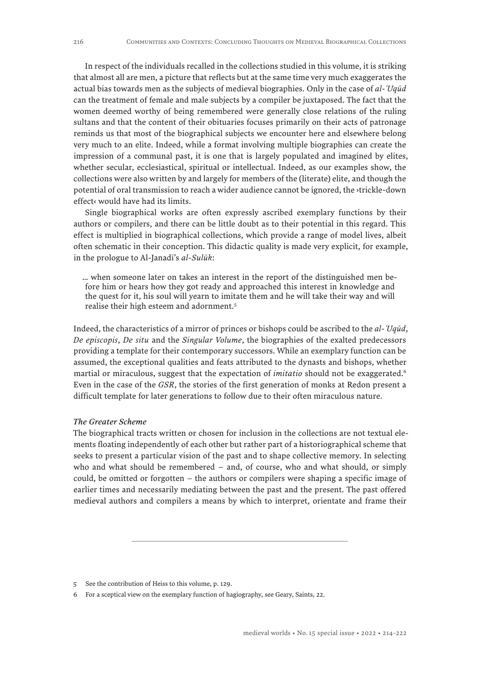In respect of the individuals recalled in the collections studied in this volume, it is striking that almost all are men, a picture that reflects but at the same time very much exaggerates the actual bias towards men as the subjects of medieval biographies. Only in the case of *al-ʿUqūd* can the treatment of female and male subjects by a compiler be juxtaposed. The fact that the women deemed worthy of being remembered were generally close relations of the ruling sultans and that the content of their obituaries focuses primarily on their acts of patronage reminds us that most of the biographical subjects we encounter here and elsewhere belong very much to an elite. Indeed, while a format involving multiple biographies can create the impression of a communal past, it is one that is largely populated and imagined by elites, whether secular, ecclesiastical, spiritual or intellectual. Indeed, as our examples show, the collections were also written by and largely for members of the (literate) elite, and though the potential of oral transmission to reach a wider audience cannot be ignored, the ›trickle-down effect‹ would have had its limits.

Single biographical works are often expressly ascribed exemplary functions by their authors or compilers, and there can be little doubt as to their potential in this regard. This effect is multiplied in biographical collections, which provide a range of model lives, albeit often schematic in their conception. This didactic quality is made very explicit, for example, in the prologue to Al-Janadī's *al-Sulūk*:

… when someone later on takes an interest in the report of the distinguished men before him or hears how they got ready and approached this interest in knowledge and the quest for it, his soul will yearn to imitate them and he will take their way and will realise their high esteem and adornment.5

Indeed, the characteristics of a mirror of princes or bishops could be ascribed to the *al-ʿUqūd*, *De episcopis*, *De situ* and the *Singular Volume*, the biographies of the exalted predecessors providing a template for their contemporary successors. While an exemplary function can be assumed, the exceptional qualities and feats attributed to the dynasts and bishops, whether martial or miraculous, suggest that the expectation of *imitatio* should not be exaggerated.<sup>6</sup> Even in the case of the *GSR*, the stories of the first generation of monks at Redon present a difficult template for later generations to follow due to their often miraculous nature.

#### *The Greater Scheme*

The biographical tracts written or chosen for inclusion in the collections are not textual elements floating independently of each other but rather part of a historiographical scheme that seeks to present a particular vision of the past and to shape collective memory. In selecting who and what should be remembered – and, of course, who and what should, or simply could, be omitted or forgotten – the authors or compilers were shaping a specific image of earlier times and necessarily mediating between the past and the present. The past offered medieval authors and compilers a means by which to interpret, orientate and frame their

<sup>5</sup> See the contribution of Heiss to this volume, p. 129.

<sup>6</sup> For a sceptical view on the exemplary function of hagiography, see Geary, Saints, 22.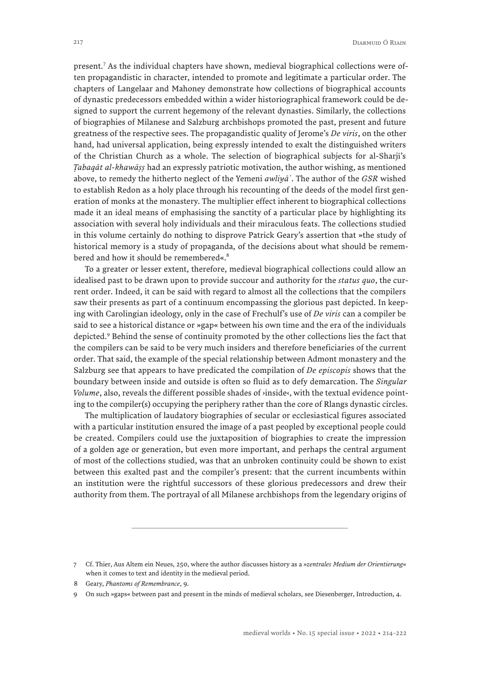present.<sup>7</sup> As the individual chapters have shown, medieval biographical collections were often propagandistic in character, intended to promote and legitimate a particular order. The chapters of Langelaar and Mahoney demonstrate how collections of biographical accounts of dynastic predecessors embedded within a wider historiographical framework could be designed to support the current hegemony of the relevant dynasties. Similarly, the collections of biographies of Milanese and Salzburg archbishops promoted the past, present and future greatness of the respective sees. The propagandistic quality of Jerome's *De viris*, on the other hand, had universal application, being expressly intended to exalt the distinguished writers of the Christian Church as a whole. The selection of biographical subjects for al-Sharjī's *Ṭabaqāt al-khawāṣṣ* had an expressly patriotic motivation, the author wishing, as mentioned above, to remedy the hitherto neglect of the Yemeni *awliyā ̉*. The author of the *GSR* wished to establish Redon as a holy place through his recounting of the deeds of the model first generation of monks at the monastery. The multiplier effect inherent to biographical collections made it an ideal means of emphasising the sanctity of a particular place by highlighting its association with several holy individuals and their miraculous feats. The collections studied in this volume certainly do nothing to disprove Patrick Geary's assertion that »the study of historical memory is a study of propaganda, of the decisions about what should be remembered and how it should be remembered«.<sup>8</sup>

To a greater or lesser extent, therefore, medieval biographical collections could allow an idealised past to be drawn upon to provide succour and authority for the *status quo*, the current order. Indeed, it can be said with regard to almost all the collections that the compilers saw their presents as part of a continuum encompassing the glorious past depicted. In keeping with Carolingian ideology, only in the case of Frechulf's use of *De viris* can a compiler be said to see a historical distance or »gap« between his own time and the era of the individuals depicted.<sup>9</sup> Behind the sense of continuity promoted by the other collections lies the fact that the compilers can be said to be very much insiders and therefore beneficiaries of the current order. That said, the example of the special relationship between Admont monastery and the Salzburg see that appears to have predicated the compilation of *De episcopis* shows that the boundary between inside and outside is often so fluid as to defy demarcation. The *Singular Volume*, also, reveals the different possible shades of ›inside‹, with the textual evidence pointing to the compiler(s) occupying the periphery rather than the core of Rlangs dynastic circles.

The multiplication of laudatory biographies of secular or ecclesiastical figures associated with a particular institution ensured the image of a past peopled by exceptional people could be created. Compilers could use the juxtaposition of biographies to create the impression of a golden age or generation, but even more important, and perhaps the central argument of most of the collections studied, was that an unbroken continuity could be shown to exist between this exalted past and the compiler's present: that the current incumbents within an institution were the rightful successors of these glorious predecessors and drew their authority from them. The portrayal of all Milanese archbishops from the legendary origins of

<sup>7</sup> Cf. Thier, Aus Altem ein Neues, 250, where the author discusses history as a *»zentrales Medium der Orientierung«*  when it comes to text and identity in the medieval period.

<sup>8</sup> Geary, *Phantoms of Remembrance*, 9.

<sup>9</sup> On such »gaps« between past and present in the minds of medieval scholars, see Diesenberger, Introduction, 4.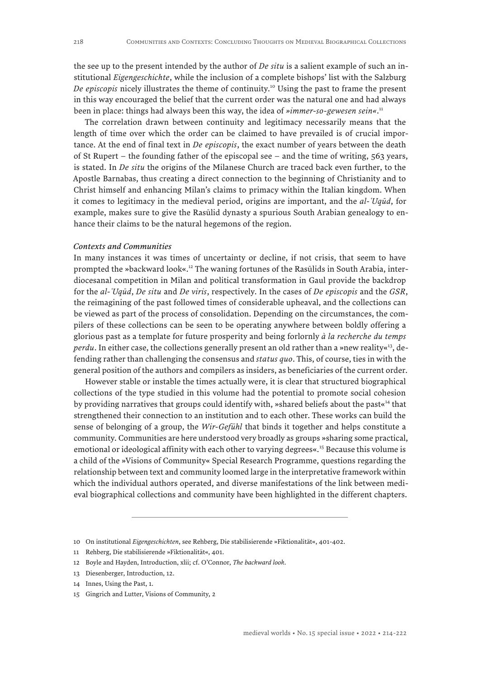the see up to the present intended by the author of *De situ* is a salient example of such an institutional *Eigengeschichte*, while the inclusion of a complete bishops' list with the Salzburg *De episcopis* nicely illustrates the theme of continuity.10 Using the past to frame the present in this way encouraged the belief that the current order was the natural one and had always been in place: things had always been this way, the idea of *»immer-so-gewesen sein«*. 11

The correlation drawn between continuity and legitimacy necessarily means that the length of time over which the order can be claimed to have prevailed is of crucial importance. At the end of final text in *De episcopis*, the exact number of years between the death of St Rupert – the founding father of the episcopal see – and the time of writing, 563 years, is stated. In *De situ* the origins of the Milanese Church are traced back even further, to the Apostle Barnabas, thus creating a direct connection to the beginning of Christianity and to Christ himself and enhancing Milan's claims to primacy within the Italian kingdom. When it comes to legitimacy in the medieval period, origins are important, and the *al-ʿUqūd*, for example, makes sure to give the Rasūlid dynasty a spurious South Arabian genealogy to enhance their claims to be the natural hegemons of the region.

#### *Contexts and Communities*

In many instances it was times of uncertainty or decline, if not crisis, that seem to have prompted the »backward look«.12 The waning fortunes of the Rasūlids in South Arabia, interdiocesanal competition in Milan and political transformation in Gaul provide the backdrop for the *al-ʿUqūd*, *De situ* and *De viris*, respectively. In the cases of *De episcopis* and the *GSR*, the reimagining of the past followed times of considerable upheaval, and the collections can be viewed as part of the process of consolidation. Depending on the circumstances, the compilers of these collections can be seen to be operating anywhere between boldly offering a glorious past as a template for future prosperity and being forlornly *à la recherche du temps perdu*. In either case, the collections generally present an old rather than a »new reality«<sup>13</sup>, defending rather than challenging the consensus and *status quo*. This, of course, ties in with the general position of the authors and compilers as insiders, as beneficiaries of the current order.

However stable or instable the times actually were, it is clear that structured biographical collections of the type studied in this volume had the potential to promote social cohesion by providing narratives that groups could identify with, »shared beliefs about the past«<sup>14</sup> that strengthened their connection to an institution and to each other. These works can build the sense of belonging of a group, the *Wir-Gefühl* that binds it together and helps constitute a community. Communities are here understood very broadly as groups »sharing some practical, emotional or ideological affinity with each other to varying degrees«.<sup>15</sup> Because this volume is a child of the »Visions of Community« Special Research Programme, questions regarding the relationship between text and community loomed large in the interpretative framework within which the individual authors operated, and diverse manifestations of the link between medieval biographical collections and community have been highlighted in the different chapters.

<sup>10</sup> On institutional *Eigengeschichten*, see Rehberg, Die stabilisierende »Fiktionalität«, 401-402.

<sup>11</sup> Rehberg, Die stabilisierende »Fiktionalität«, 401.

<sup>12</sup> Boyle and Hayden, Introduction, xlii; cf. O'Connor, *The backward look*.

<sup>13</sup> Diesenberger, Introduction, 12.

<sup>14</sup> Innes, Using the Past, 1.

<sup>15</sup> Gingrich and Lutter, Visions of Community, 2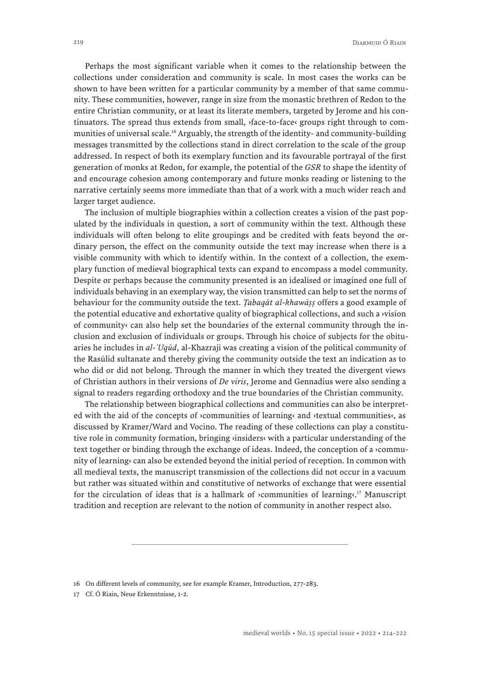Perhaps the most significant variable when it comes to the relationship between the collections under consideration and community is scale. In most cases the works can be shown to have been written for a particular community by a member of that same community. These communities, however, range in size from the monastic brethren of Redon to the entire Christian community, or at least its literate members, targeted by Jerome and his continuators. The spread thus extends from small, ›face-to-face‹ groups right through to communities of universal scale.<sup>16</sup> Arguably, the strength of the identity- and community-building messages transmitted by the collections stand in direct correlation to the scale of the group addressed. In respect of both its exemplary function and its favourable portrayal of the first generation of monks at Redon, for example, the potential of the *GSR* to shape the identity of and encourage cohesion among contemporary and future monks reading or listening to the narrative certainly seems more immediate than that of a work with a much wider reach and larger target audience.

The inclusion of multiple biographies within a collection creates a vision of the past populated by the individuals in question, a sort of community within the text. Although these individuals will often belong to elite groupings and be credited with feats beyond the ordinary person, the effect on the community outside the text may increase when there is a visible community with which to identify within. In the context of a collection, the exemplary function of medieval biographical texts can expand to encompass a model community. Despite or perhaps because the community presented is an idealised or imagined one full of individuals behaving in an exemplary way, the vision transmitted can help to set the norms of behaviour for the community outside the text. *Ṭabaqāt al-khawāṣṣ* offers a good example of the potential educative and exhortative quality of biographical collections, and such a ›vision of community‹ can also help set the boundaries of the external community through the inclusion and exclusion of individuals or groups. Through his choice of subjects for the obituaries he includes in *al-ʿUqūd*, al-Khazrajī was creating a vision of the political community of the Rasūlid sultanate and thereby giving the community outside the text an indication as to who did or did not belong. Through the manner in which they treated the divergent views of Christian authors in their versions of *De viris*, Jerome and Gennadius were also sending a signal to readers regarding orthodoxy and the true boundaries of the Christian community.

The relationship between biographical collections and communities can also be interpreted with the aid of the concepts of ›communities of learning‹ and ›textual communities‹, as discussed by Kramer/Ward and Vocino. The reading of these collections can play a constitutive role in community formation, bringing ›insiders‹ with a particular understanding of the text together or binding through the exchange of ideas. Indeed, the conception of a ›community of learning‹ can also be extended beyond the initial period of reception. In common with all medieval texts, the manuscript transmission of the collections did not occur in a vacuum but rather was situated within and constitutive of networks of exchange that were essential for the circulation of ideas that is a hallmark of  $\alpha$  communities of learnings.<sup>17</sup> Manuscript tradition and reception are relevant to the notion of community in another respect also.

<sup>16</sup> On different levels of community, see for example Kramer, Introduction, 277-283.

<sup>17</sup> Cf. Ó Riain, Neue Erkenntnisse, 1-2.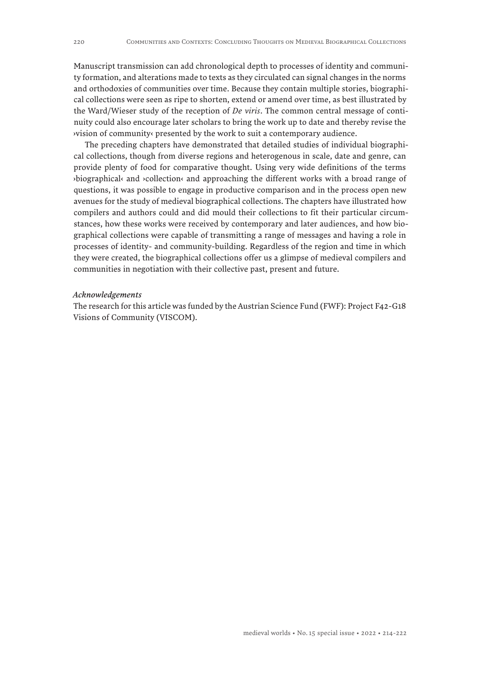Manuscript transmission can add chronological depth to processes of identity and community formation, and alterations made to texts as they circulated can signal changes in the norms and orthodoxies of communities over time. Because they contain multiple stories, biographical collections were seen as ripe to shorten, extend or amend over time, as best illustrated by the Ward/Wieser study of the reception of *De viris*. The common central message of continuity could also encourage later scholars to bring the work up to date and thereby revise the ›vision of community‹ presented by the work to suit a contemporary audience.

The preceding chapters have demonstrated that detailed studies of individual biographical collections, though from diverse regions and heterogenous in scale, date and genre, can provide plenty of food for comparative thought. Using very wide definitions of the terms ›biographical‹ and ›collection‹ and approaching the different works with a broad range of questions, it was possible to engage in productive comparison and in the process open new avenues for the study of medieval biographical collections. The chapters have illustrated how compilers and authors could and did mould their collections to fit their particular circumstances, how these works were received by contemporary and later audiences, and how biographical collections were capable of transmitting a range of messages and having a role in processes of identity- and community-building. Regardless of the region and time in which they were created, the biographical collections offer us a glimpse of medieval compilers and communities in negotiation with their collective past, present and future.

#### *Acknowledgements*

The research for this article was funded by the Austrian Science Fund (FWF): Project F42-G18 Visions of Community (VISCOM).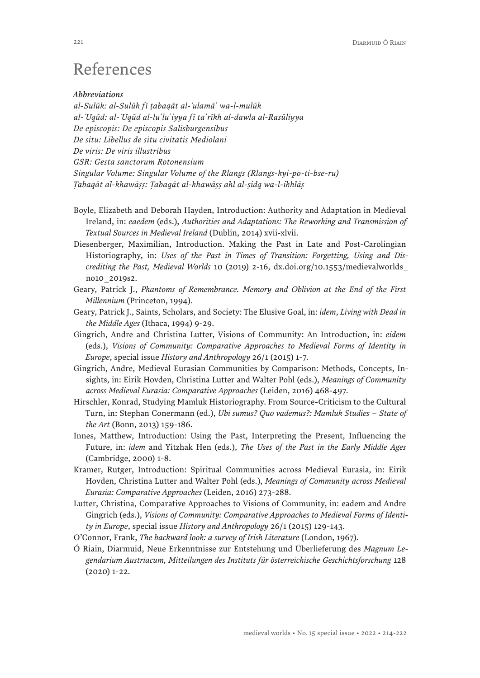## References

#### *Abbreviations*

*al-Sulūk: al-Sulūk fī ṭabaqāt al-ʿulamā ̉ wa-l-mulūk al-ʿUqūd: al-ʿUqūd al-lu ̉lu ̉iyya fī ta ̉rīkh al-dawla al-Rasūliyya De episcopis: De episcopis Salisburgensibus De situ: Libellus de situ civitatis Mediolani De viris: De viris illustribus GSR: Gesta sanctorum Rotonensium Singular Volume: Singular Volume of the Rlangs (Rlangs-kyi-po-ti-bse-ru) Ṭabaqāt al-khawāṣṣ: Ṭabaqāt al-khawāṣṣ ahl al-ṣidq wa-l-ikhlāṣ*

- Boyle, Elizabeth and Deborah Hayden, Introduction: Authority and Adaptation in Medieval Ireland, in: *eaedem* (eds.), *Authorities and Adaptations: The Reworking and Transmission of Textual Sources in Medieval Ireland* (Dublin, 2014) xvii-xlvii.
- Diesenberger, Maximilian, Introduction. Making the Past in Late and Post-Carolingian Historiography, in: *Uses of the Past in Times of Transition: Forgetting, Using and Discrediting the Past, Medieval Worlds* 10 (2019) 2-16, [dx.doi.org/10.1553/medievalworlds\\_](http://dx.doi.org/10.1553/medievalworlds_no10_2019s2) [no10\\_2019s2](http://dx.doi.org/10.1553/medievalworlds_no10_2019s2).
- Geary, Patrick J., *Phantoms of Remembrance. Memory and Oblivion at the End of the First Millennium* (Princeton, 1994).
- Geary, Patrick J., Saints, Scholars, and Society: The Elusive Goal, in: *idem*, *Living with Dead in the Middle Ages* (Ithaca, 1994) 9-29.
- Gingrich, Andre and Christina Lutter, Visions of Community: An Introduction, in: *eidem* (eds.), *Visions of Community: Comparative Approaches to Medieval Forms of Identity in Europe*, special issue *History and Anthropology* 26/1 (2015) 1-7.
- Gingrich, Andre, Medieval Eurasian Communities by Comparison: Methods, Concepts, Insights, in: Eirik Hovden, Christina Lutter and Walter Pohl (eds.), *Meanings of Community across Medieval Eurasia: Comparative Approaches* (Leiden, 2016) 468-497.
- Hirschler, Konrad, Studying Mamluk Historiography. From Source-Criticism to the Cultural Turn, in: Stephan Conermann (ed.), *Ubi sumus? Quo vademus?: Mamluk Studies – State of the Art* (Bonn, 2013) 159-186.
- Innes, Matthew, Introduction: Using the Past, Interpreting the Present, Influencing the Future, in: *idem* and Yitzhak Hen (eds.), *The Uses of the Past in the Early Middle Ages*  (Cambridge, 2000) 1-8.
- Kramer, Rutger, Introduction: Spiritual Communities across Medieval Eurasia, in: Eirik Hovden, Christina Lutter and Walter Pohl (eds.), *Meanings of Community across Medieval Eurasia: Comparative Approaches* (Leiden, 2016) 273-288.
- Lutter, Christina, Comparative Approaches to Visions of Community, in: eadem and Andre Gingrich (eds.), *Visions of Community: Comparative Approaches to Medieval Forms of Identity in Europe*, special issue *History and Anthropology* 26/1 (2015) 129-143.
- O'Connor, Frank, *The backward look: a survey of Irish Literature* (London, 1967).
- Ó Riain, Diarmuid, Neue Erkenntnisse zur Entstehung und Überlieferung des *Magnum Legendarium Austriacum, Mitteilungen des Instituts für österreichische Geschichtsforschung* 128 (2020) 1-22.